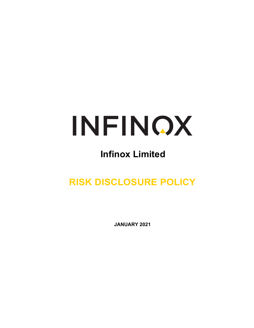

# **Infinox Limited**

**RISK DISCLOSURE POLICY**

**JANUARY 2021**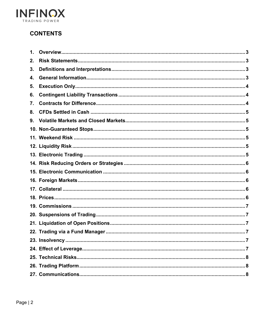

# **CONTENTS**

| 1. |  |
|----|--|
| 2. |  |
| 3. |  |
| 4. |  |
| 5. |  |
| 6. |  |
| 7. |  |
| 8. |  |
| 9. |  |
|    |  |
|    |  |
|    |  |
|    |  |
|    |  |
|    |  |
|    |  |
|    |  |
|    |  |
|    |  |
|    |  |
|    |  |
|    |  |
|    |  |
|    |  |
|    |  |
|    |  |
|    |  |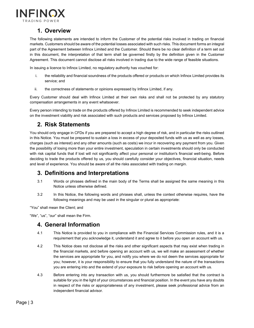

## **1. Overview**

<span id="page-2-0"></span>The following statements are intended to inform the Customer of the potential risks involved in trading on financial markets. Customers should be aware of the potential losses associated with such risks. This document forms an integral part of the Agreement between Infinox Limited and the Customer. Should there be no clear definition of a term set out in this document, the interpretation of that term shall be governed firstly by the definition given in the Customer Agreement. This document cannot disclose all risks involved in trading due to the wide range of feasible situations.

In issuing a licence to Infinox Limited, no regulatory authority has vouched for:

- i. the reliability and financial soundness of the products offered or products on which Infinox Limited provides its service; and
- ii. the correctness of statements or opinions expressed by Infinox Limited, if any.

Every Customer should deal with Infinox Limited at their own risks and shall not be protected by any statutory compensation arrangements in any event whatsoever.

Every person intending to trade on the products offered by Infinox Limited is recommended to seek independent advice on the investment viability and risk associated with such products and services proposed by Infinox Limited.

## **2. Risk Statements**

<span id="page-2-1"></span>You should only engage in CFDs if you are prepared to accept a high degree of risk, and in particular the risks outlined in this Notice. You must be prepared to sustain a loss in excess of your deposited funds with us as well as any losses, charges (such as interest) and any other amounts (such as costs) we incur in recovering any payment from you. Given the possibility of losing more than your entire investment, speculation in certain investments should only be conducted with risk capital funds that if lost will not significantly affect your personal or institution's financial well-being. Before deciding to trade the products offered by us, you should carefully consider your objectives, financial situation, needs and level of experience. You should be aware of all the risks associated with trading on margin.

## <span id="page-2-2"></span>**3. Definitions and Interpretations**

- 3.1 Words or phrases defined in the main body of the Terms shall be assigned the same meaning in this Notice unless otherwise defined.
- 3.2 In this Notice, the following words and phrases shall, unless the context otherwise requires, have the following meanings and may be used in the singular or plural as appropriate:

"You" shall mean the Client; and

<span id="page-2-3"></span>"We", "us", "our" shall mean the Firm.

#### **4. General Information**

- 4.1 This Notice is provided to you in compliance with the Financial Services Commission rules, and it is a requirement that you acknowledge it, understand it and agree to it before you open an account with us.
- 4.2 This Notice does not disclose all the risks and other significant aspects that may exist when trading in the financial markets, and before opening an account with us, we will make an assessment of whether the services are appropriate for you, and notify you where we do not deem the services appropriate for you; however, it is your responsibility to ensure that you fully understand the nature of the transactions you are entering into and the extend of your exposure to risk before opening an account with us.
- 4.3 Before entering into any transaction with us, you should furthermore be satisfied that the contract is suitable for you in the light of your circumstances and financial position. In the event you have any doubts in respect of the risks or appropriateness of any investment, please seek professional advice from an independent financial advisor.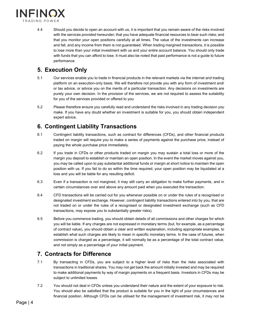

4.4 Should you decide to open an account with us, it is important that you remain aware of the risks involved with the services provided hereunder; that you have adequate financial resources to bear such risks; and that you monitor your open positions carefully at all times. The value of the investments can increase and fall, and any income from them is not guaranteed. When trading margined transactions, it is possible to lose more than your initial investment with us and your entire account balance. You should only trade with funds that you can afford to lose. It must also be noted that past performance is not a guide to future performance.

## <span id="page-3-0"></span>**5. Execution Only**

- 5.1 Our services enable you to trade in financial products in the relevant markets via the internet and trading platform on an execution-only basis. We will therefore not provide you with any form of investment and/ or tax advice, or advice you on the merits of a particular transaction. Any decisions on investments are purely your own decision. In the provision of the services, we are not required to assess the suitability for you of the services provided or offered to you.
- 5.2 Please therefore ensure you carefully read and understand the risks involved in any trading decision you make. If you have any doubt whether an investment is suitable for you, you should obtain independent expert advice.

# <span id="page-3-1"></span>**6. Contingent Liability Transactions**

- 6.1 Contingent liability transactions, such as contract for differences (CFDs), and other financial products traded on margin will require you to make a series of payments against the purchase price, instead of paying the whole purchase price immediately.
- 6.2 If you trade in CFDs or other products traded on margin you may sustain a total loss or more of the margin you deposit to establish or maintain an open position. In the event the market moves against you, you may be called upon to pay substantial additional funds or margin at short notice to maintain the open position with us. If you fail to do so within the time required, your open position may be liquidated at a loss and you will be liable for any resulting deficit.
- 6.3 Even if a transaction is not margined, it may still carry an obligation to make further payments, and in certain circumstances over and above any amount paid when you executed the transaction.
- 6.4 CFD transactions will be carried out for you whenever possible on or under the rules of a recognised or designated investment exchange. However, contingent liability transactions entered into by you, that are not traded on or under the rules of a recognised or designated investment exchange (such as CFD transactions, may expose you to substantially greater risks).
- 6.5 Before you commence trading, you should obtain details of all commissions and other charges for which you will be liable. If any charges are not expressed in monetary terms (but, for example, as a percentage of contract value), you should obtain a clear and written explanation, including appropriate examples, to establish what such charges are likely to mean in specific monetary terms. In the case of futures, when commission is charged as a percentage, it will normally be as a percentage of the total contract value, and not simply as a percentage of your initial payment.

## <span id="page-3-2"></span>**7. Contracts for Difference**

- 7.1 By transacting in CFDs, you are subject to a higher level of risks than the risks associated with transactions in traditional shares. You may not get back the amount initially invested and may be required to make additional payments by way of margin payments on a frequent basis. Investors in CFDs may be subject to unlimited losses.
- 7.2 You should not deal in CFDs unless you understand their nature and the extent of your exposure to risk. You should also be satisfied that the product is suitable for you in the light of your circumstances and financial position. Although CFDs can be utilised for the management of investment risk, it may not be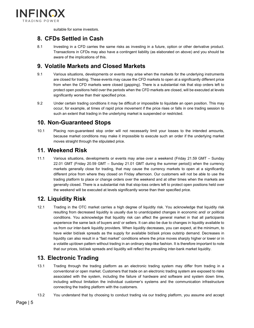

suitable for some investors.

#### <span id="page-4-0"></span>**8. CFDs Settled in Cash**

8.1 Investing in a CFD carries the same risks as investing in a future, option or other derivative product. Transactions in CFDs may also have a contingent liability (as elaborated on above) and you should be aware of the implications of this.

## <span id="page-4-1"></span>**9. Volatile Markets and Closed Markets**

- 9.1 Various situations, developments or events may arise when the markets for the underlying instruments are closed for trading. These events may cause the CFD markets to open at a significantly different price from when the CFD markets were closed (gapping). There is a substantial risk that stop orders left to protect open positions held over the periods when the CFD markets are closed, will be executed at levels significantly worse than their specified price.
- 9.2 Under certain trading conditions it may be difficult or impossible to liquidate an open position. This may occur, for example, at times of rapid price movement if the price rises or falls in one trading session to such an extent that trading in the underlying market is suspended or restricted.

## <span id="page-4-2"></span>**10. Non-Guaranteed Stops**

10.1 Placing non-guaranteed stop order will not necessarily limit your losses to the intended amounts, because market conditions may make it impossible to execute such an order if the underlying market moves straight through the stipulated price.

#### <span id="page-4-3"></span>**11. Weekend Risk**

11.1 Various situations, developments or events may arise over a weekend (Friday 21.59 GMT – Sunday 22.01 GMT (Friday 20.59 GMT – Sunday 21.01 GMT during the summer period)) when the currency markets generally close for trading, that may cause the currency markets to open at a significantly different price from where they closed on Friday afternoon. Our customers will not be able to use the trading platform to place or change orders over the weekend and at other times when the markets are generally closed. There is a substantial risk that stop-loss orders left to protect open positions held over the weekend will be executed at levels significantly worse than their specified price.

## <span id="page-4-4"></span>**12. Liquidity Risk**

12.1 Trading in the OTC market carries a high degree of liquidity risk. You acknowledge that liquidity risk resulting from decreased liquidity is usually due to unanticipated changes in economic and/ or political conditions. You acknowledge that liquidity risk can affect the general market in that all participants experience the same lack of buyers and/ or sellers. It can also be due to changes in liquidity available to us from our inter-bank liquidity providers. When liquidity decreases, you can expect, at the minimum, to have wider bid/ask spreads as the supply for available bid/ask prices outstrip demand. Decreases in liquidity can also result in a "fast market" conditions where the price moves sharply higher or lower or in a volatile up/down pattern without trading in an ordinary step-like fashion. It is therefore important to note that our prices, bid/ask spreads and liquidity will reflect the prevailing inter-bank market liquidity.

#### <span id="page-4-5"></span>**13. Electronic Trading**

- 13.1 Trading through the trading platform as an electronic trading system may differ from trading in a conventional or open market. Customers that trade on an electronic trading system are exposed to risks associated with the system, including the failure of hardware and software and system down time, including without limitation the individual customer's systems and the communication infrastructure connecting the trading platform with the customers.
- 13.2 You understand that by choosing to conduct trading via our trading platform, you assume and accept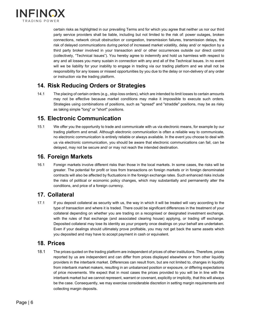

certain risks as highlighted in our prevailing Terms and for which you agree that neither us nor our third party service providers shall be liable, including but not limited to the risk of: power outages, broken connections, network circuit obstruction or congestion, transmission failures, transmission delays, the risk of delayed communications during period of increased market volatility, delay and/ or rejection by a third party broker involved in your transaction and/ or other occurrences outside our direct control (collectively, "Technical Issues"). You hereby agree to indemnify and hold us harmless with respect to any and all losses you many sustain in connection with any and all of the Technical Issues. In no event will we be liability for your inability to engage in trading via our trading platform and we shall not be responsibility for any losses or missed opportunities by you due to the delay or non-delivery of any order or instruction via the trading platform.

## <span id="page-5-0"></span>**14. Risk Reducing Orders or Strategies**

14.1 The placing of certain orders (e.g., stop-loss orders), which are intended to limit losses to certain amounts may not be effective because market conditions may make it impossible to execute such orders. Strategies using combinations of positions, such as "spread" and "straddle" positions, may be as risky as taking simple "long" or "short" positions.

#### <span id="page-5-1"></span>**15. Electronic Communication**

15.1 We offer you the opportunity to trade and communicate with us via electronic means, for example by our trading platform and email. Although electronic communication is often a reliable way to communicate, no electronic communication is entirely reliable or always available. In the event you choose to deal with us via electronic communication, you should be aware that electronic communications can fail, can be delayed, may not be secure and/ or may not reach the intended destination.

#### <span id="page-5-2"></span>**16. Foreign Markets**

16.1 Foreign markets involve different risks than those in the local markets. In some cases, the risks will be greater. The potential for profit or loss from transactions on foreign markets or in foreign denominated contracts will also be affected by fluctuations in the foreign exchange rates. Such enhanced risks include the risks of political or economic policy changes, which may substantially and permanently alter the conditions, and price of a foreign currency.

#### <span id="page-5-3"></span>**17. Collateral**

17.1 If you deposit collateral as security with us, the way in which it will be treated will vary according to the type of transaction and where it is traded. There could be significant differences in the treatment of your collateral depending on whether you are trading on a recognised or designated investment exchange, with the rules of that exchange (and associated clearing house) applying, or trading off exchange. Deposited collateral may lose its identity as your property once dealings on your behalf are undertaken. Even if your dealings should ultimately prove profitable, you may not get back the same assets which you deposited and may have to accept payment in cash or equivalent.

#### <span id="page-5-4"></span>**18. Prices**

18.1 The prices quoted on the trading platform are independent of prices of other institutions. Therefore, prices reported by us are independent and can differ from prices displayed elsewhere or from other liquidity providers in the interbank market. Differences can result from, but are not limited to, changes in liquidity from interbank market makers, resulting in an unbalanced position or exposure, or differing expectations of price movements. We expect that in most cases the prices provided to you will be in line with the interbank market but we cannot represent, warrant or covenant, explicitly or implicitly, that this will always be the case. Consequently, we may exercise considerable discretion in setting margin requirements and collecting margin deposits.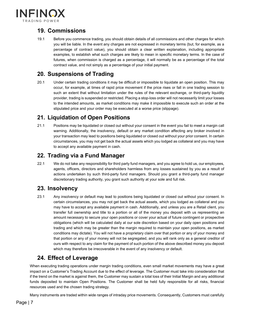

# <span id="page-6-0"></span>**19. Commissions**

19.1 Before you commence trading, you should obtain details of all commissions and other charges for which you will be liable. In the event any charges are not expressed in monetary terms (but, for example, as a percentage of contract value), you should obtain a clear written explanation, including appropriate examples, to establish what such charges are likely to mean in specific monetary terms. In the case of futures, when commission is charged as a percentage, it will normally be as a percentage of the total contract value, and not simply as a percentage of your initial payment.

## <span id="page-6-1"></span>**20. Suspensions of Trading**

20.1 Under certain trading conditions it may be difficult or impossible to liquidate an open position. This may occur, for example, at times of rapid price movement if the price rises or fall in one trading session to such an extent that without limitation under the rules of the relevant exchange, or third-party liquidity provider, trading is suspended or restricted. Placing a stop-loss order will not necessarily limit your losses to the intended amounts, as market conditions may make it impossible to execute such an order at the stipulated price and your order may be executed at a worse price (slippage).

## <span id="page-6-2"></span>**21. Liquidation of Open Positions**

21.1 Positions may be liquidated or closed out without your consent in the event you fail to meet a margin call warning. Additionally, the insolvency, default or any market condition affecting any broker involved in your transaction may lead to positions being liquidated or closed out without your prior consent. In certain circumstances, you may not get back the actual assets which you lodged as collateral and you may have to accept any available payment in cash.

## <span id="page-6-3"></span>**22. Trading via a Fund Manager**

22.1 We do not take any responsibility for third party fund managers, and you agree to hold us, our employees, agents, officers, directors and shareholders harmless from any losses sustained by you as a result of actions undertaken by such third-party fund managers. Should you grant a third-party fund manager discretionary trading authority, you grant such authority at your sole and full risk.

#### <span id="page-6-4"></span>**23. Insolvency**

23.1 Any insolvency or default may lead to positions being liquidated or closed out without your consent. In certain circumstances, you may not get back the actual assets, which you lodged as collateral and you may have to accept any available payment in cash. Additionally, and unless you are a Retail client, you transfer full ownership and title to a portion or all of the money you deposit with us representing an amount necessary to secure your open positions or cover your actual of future contingent or prospective obligations (which will be calculated daily at our sole discretion based on your daily open positions and trading and which may be greater than the margin required to maintain your open positions, as market conditions may dictate). You will not have a proprietary claim over that portion or any of your money and that portion or any of your money will not be segregated, and you will rank only as a general creditor of ours with respect to any claim for the payment of such portion of the above described money you deposit which may therefore be irrecoverable in the event of any insolvency or default.

# <span id="page-6-5"></span>**24. Effect of Leverage**

When executing trading operations under margin trading conditions, even small market movements may have a great impact on a Customer's Trading Account due to the effect of leverage. The Customer must take into consideration that if the trend on the market is against them, the Customer may sustain a total loss of their Initial Margin and any additional funds deposited to maintain Open Positions. The Customer shall be held fully responsible for all risks, financial resources used and the chosen trading strategy.

Many instruments are traded within wide ranges of intraday price movements. Consequently, Customers must carefully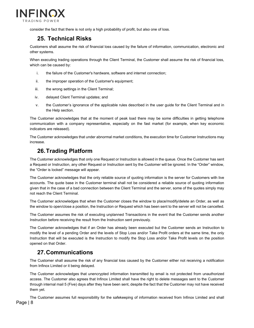

consider the fact that there is not only a high probability of profit, but also one of loss.

## <span id="page-7-0"></span>**25. Technical Risks**

Customers shall assume the risk of financial loss caused by the failure of information, communication, electronic and other systems.

When executing trading operations through the Client Terminal, the Customer shall assume the risk of financial loss, which can be caused by:

- i. the failure of the Customer's hardware, software and internet connection;
- ii. the improper operation of the Customer's equipment;
- iii. the wrong settings in the Client Terminal;
- iv. delayed Client Terminal updates; and
- v. the Customer's ignorance of the applicable rules described in the user guide for the Client Terminal and in the Help section.

The Customer acknowledges that at the moment of peak load there may be some difficulties in getting telephone communication with a company representative, especially on the fast market (for example, when key economic indicators are released).

The Customer acknowledges that under abnormal market conditions, the execution time for Customer Instructions may increase.

## **26.Trading Platform**

<span id="page-7-1"></span>The Customer acknowledges that only one Request or Instruction is allowed in the queue. Once the Customer has sent a Request or Instruction, any other Request or Instruction sent by the Customer will be ignored. In the "Order" window, the "Order is locked" message will appear.

The Customer acknowledges that the only reliable source of quoting information is the server for Customers with live accounts. The quote base in the Customer terminal shall not be considered a reliable source of quoting information given that in the case of a bad connection between the Client Terminal and the server, some of the quotes simply may not reach the Client Terminal.

The Customer acknowledges that when the Customer closes the window to place/modify/delete an Order, as well as the window to open/close a position, the Instruction or Request which has been sent to the server will not be cancelled.

The Customer assumes the risk of executing unplanned Transactions in the event that the Customer sends another Instruction before receiving the result from the Instruction sent previously.

The Customer acknowledges that if an Order has already been executed but the Customer sends an Instruction to modify the level of a pending Order and the levels of Stop Loss and/or Take Profit orders at the same time, the only Instruction that will be executed is the Instruction to modify the Stop Loss and/or Take Profit levels on the position opened on that Order.

## **27.Communications**

<span id="page-7-2"></span>The Customer shall assume the risk of any financial loss caused by the Customer either not receiving a notification from Infinox Limited or it being delayed.

The Customer acknowledges that unencrypted information transmitted by email is not protected from unauthorized access. The Customer also agrees that Infinox Limited shall have the right to delete messages sent to the Customer through internal mail 5 (Five) days after they have been sent, despite the fact that the Customer may not have received them yet.

The Customer assumes full responsibility for the safekeeping of information received from Infinox Limited and shall